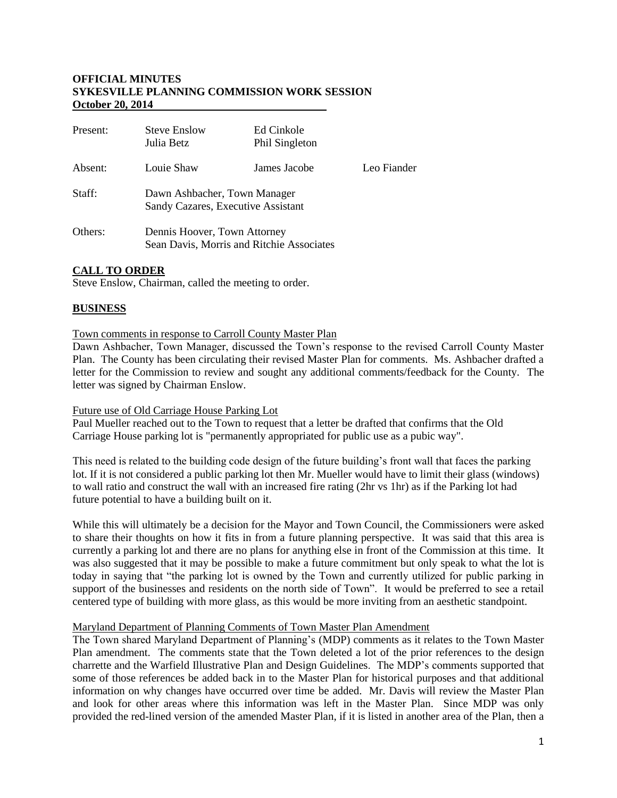### **OFFICIAL MINUTES SYKESVILLE PLANNING COMMISSION WORK SESSION October 20, 2014**

| Present: | <b>Steve Enslow</b><br>Julia Betz                                         | Ed Cinkole<br>Phil Singleton |             |
|----------|---------------------------------------------------------------------------|------------------------------|-------------|
| Absent:  | Louie Shaw                                                                | James Jacobe                 | Leo Fiander |
| Staff:   | Dawn Ashbacher, Town Manager<br>Sandy Cazares, Executive Assistant        |                              |             |
| Others:  | Dennis Hoover, Town Attorney<br>Sean Davis, Morris and Ritchie Associates |                              |             |

## **CALL TO ORDER**

Steve Enslow, Chairman, called the meeting to order.

### **BUSINESS**

### Town comments in response to Carroll County Master Plan

Dawn Ashbacher, Town Manager, discussed the Town's response to the revised Carroll County Master Plan. The County has been circulating their revised Master Plan for comments. Ms. Ashbacher drafted a letter for the Commission to review and sought any additional comments/feedback for the County. The letter was signed by Chairman Enslow.

### Future use of Old Carriage House Parking Lot

Paul Mueller reached out to the Town to request that a letter be drafted that confirms that the Old Carriage House parking lot is "permanently appropriated for public use as a pubic way".

This need is related to the building code design of the future building's front wall that faces the parking lot. If it is not considered a public parking lot then Mr. Mueller would have to limit their glass (windows) to wall ratio and construct the wall with an increased fire rating (2hr vs 1hr) as if the Parking lot had future potential to have a building built on it.

While this will ultimately be a decision for the Mayor and Town Council, the Commissioners were asked to share their thoughts on how it fits in from a future planning perspective. It was said that this area is currently a parking lot and there are no plans for anything else in front of the Commission at this time. It was also suggested that it may be possible to make a future commitment but only speak to what the lot is today in saying that "the parking lot is owned by the Town and currently utilized for public parking in support of the businesses and residents on the north side of Town". It would be preferred to see a retail centered type of building with more glass, as this would be more inviting from an aesthetic standpoint.

### Maryland Department of Planning Comments of Town Master Plan Amendment

The Town shared Maryland Department of Planning's (MDP) comments as it relates to the Town Master Plan amendment. The comments state that the Town deleted a lot of the prior references to the design charrette and the Warfield Illustrative Plan and Design Guidelines. The MDP's comments supported that some of those references be added back in to the Master Plan for historical purposes and that additional information on why changes have occurred over time be added. Mr. Davis will review the Master Plan and look for other areas where this information was left in the Master Plan. Since MDP was only provided the red-lined version of the amended Master Plan, if it is listed in another area of the Plan, then a